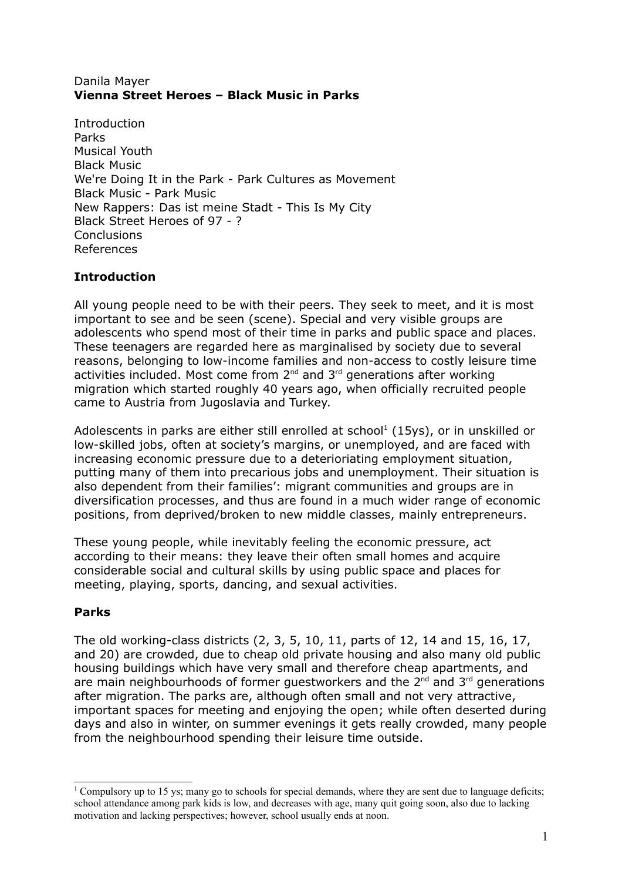### Danila Mayer **Vienna Street Heroes – Black Music in Parks**

Introduction Parks Musical Youth Black Music We're Doing It in the Park - Park Cultures as Movement Black Music - Park Music New Rappers: Das ist meine Stadt - This Is My City Black Street Heroes of 97 - ? **Conclusions** References

# **Introduction**

All young people need to be with their peers. They seek to meet, and it is most important to see and be seen (scene). Special and very visible groups are adolescents who spend most of their time in parks and public space and places. These teenagers are regarded here as marginalised by society due to several reasons, belonging to low-income families and non-access to costly leisure time activities included. Most come from  $2<sup>nd</sup>$  and  $3<sup>rd</sup>$  generations after working migration which started roughly 40 years ago, when officially recruited people came to Austria from Jugoslavia and Turkey.

Adolescents in parks are either still enrolled at school<sup>[1](#page-0-0)</sup> (15ys), or in unskilled or low-skilled jobs, often at society's margins, or unemployed, and are faced with increasing economic pressure due to a deterioriating employment situation, putting many of them into precarious jobs and unemployment. Their situation is also dependent from their families': migrant communities and groups are in diversification processes, and thus are found in a much wider range of economic positions, from deprived/broken to new middle classes, mainly entrepreneurs.

These young people, while inevitably feeling the economic pressure, act according to their means: they leave their often small homes and acquire considerable social and cultural skills by using public space and places for meeting, playing, sports, dancing, and sexual activities.

## **Parks**

The old working-class districts (2, 3, 5, 10, 11, parts of 12, 14 and 15, 16, 17, and 20) are crowded, due to cheap old private housing and also many old public housing buildings which have very small and therefore cheap apartments, and are main neighbourhoods of former guestworkers and the  $2^{nd}$  and  $3^{rd}$  generations after migration. The parks are, although often small and not very attractive, important spaces for meeting and enjoying the open; while often deserted during days and also in winter, on summer evenings it gets really crowded, many people from the neighbourhood spending their leisure time outside.

<span id="page-0-0"></span><sup>&</sup>lt;sup>1</sup> Compulsory up to 15 ys; many go to schools for special demands, where they are sent due to language deficits; school attendance among park kids is low, and decreases with age, many quit going soon, also due to lacking motivation and lacking perspectives; however, school usually ends at noon.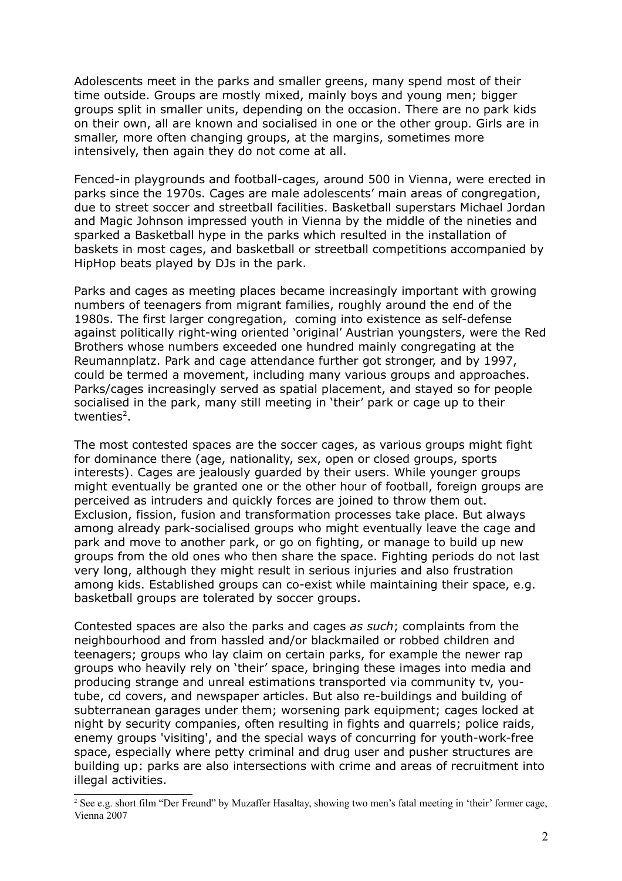Adolescents meet in the parks and smaller greens, many spend most of their time outside. Groups are mostly mixed, mainly boys and young men; bigger groups split in smaller units, depending on the occasion. There are no park kids on their own, all are known and socialised in one or the other group. Girls are in smaller, more often changing groups, at the margins, sometimes more intensively, then again they do not come at all.

Fenced-in playgrounds and football-cages, around 500 in Vienna, were erected in parks since the 1970s. Cages are male adolescents' main areas of congregation, due to street soccer and streetball facilities. Basketball superstars Michael Jordan and Magic Johnson impressed youth in Vienna by the middle of the nineties and sparked a Basketball hype in the parks which resulted in the installation of baskets in most cages, and basketball or streetball competitions accompanied by HipHop beats played by DJs in the park.

Parks and cages as meeting places became increasingly important with growing numbers of teenagers from migrant families, roughly around the end of the 1980s. The first larger congregation, coming into existence as self-defense against politically right-wing oriented 'original' Austrian youngsters, were the Red Brothers whose numbers exceeded one hundred mainly congregating at the Reumannplatz. Park and cage attendance further got stronger, and by 1997, could be termed a movement, including many various groups and approaches. Parks/cages increasingly served as spatial placement, and stayed so for people socialised in the park, many still meeting in 'their' park or cage up to their twenties<sup>[2](#page-1-0)</sup>.

The most contested spaces are the soccer cages, as various groups might fight for dominance there (age, nationality, sex, open or closed groups, sports interests). Cages are jealously guarded by their users. While younger groups might eventually be granted one or the other hour of football, foreign groups are perceived as intruders and quickly forces are joined to throw them out. Exclusion, fission, fusion and transformation processes take place. But always among already park-socialised groups who might eventually leave the cage and park and move to another park, or go on fighting, or manage to build up new groups from the old ones who then share the space. Fighting periods do not last very long, although they might result in serious injuries and also frustration among kids. Established groups can co-exist while maintaining their space, e.g. basketball groups are tolerated by soccer groups.

Contested spaces are also the parks and cages *as such*; complaints from the neighbourhood and from hassled and/or blackmailed or robbed children and teenagers; groups who lay claim on certain parks, for example the newer rap groups who heavily rely on 'their' space, bringing these images into media and producing strange and unreal estimations transported via community tv, youtube, cd covers, and newspaper articles. But also re-buildings and building of subterranean garages under them; worsening park equipment; cages locked at night by security companies, often resulting in fights and quarrels; police raids, enemy groups 'visiting', and the special ways of concurring for youth-work-free space, especially where petty criminal and drug user and pusher structures are building up: parks are also intersections with crime and areas of recruitment into illegal activities.

<span id="page-1-0"></span><sup>&</sup>lt;sup>2</sup> See e.g. short film "Der Freund" by Muzaffer Hasaltay, showing two men's fatal meeting in 'their' former cage, Vienna 2007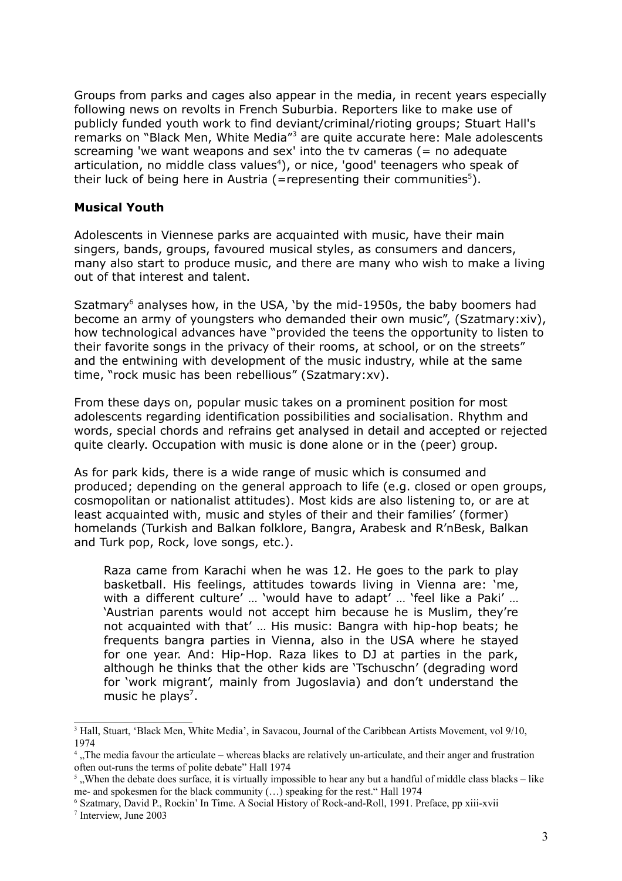Groups from parks and cages also appear in the media, in recent years especially following news on revolts in French Suburbia. Reporters like to make use of publicly funded youth work to find deviant/criminal/rioting groups; Stuart Hall's remarks on "Black Men, White Media"<sup>[3](#page-2-0)</sup> are quite accurate here: Male adolescents screaming 'we want weapons and sex' into the ty cameras  $(=$  no adequate articulation, no middle class values [4](#page-2-1) ), or nice, 'good' teenagers who speak of their luck of being here in Austria (=representing their communities<sup>[5](#page-2-2)</sup>).

### **Musical Youth**

Adolescents in Viennese parks are acquainted with music, have their main singers, bands, groups, favoured musical styles, as consumers and dancers, many also start to produce music, and there are many who wish to make a living out of that interest and talent.

Szatmary<sup>[6](#page-2-3)</sup> analyses how, in the USA, 'by the mid-1950s, the baby boomers had become an army of youngsters who demanded their own music", (Szatmary:xiv), how technological advances have "provided the teens the opportunity to listen to their favorite songs in the privacy of their rooms, at school, or on the streets" and the entwining with development of the music industry, while at the same time, "rock music has been rebellious" (Szatmary:xv).

From these days on, popular music takes on a prominent position for most adolescents regarding identification possibilities and socialisation. Rhythm and words, special chords and refrains get analysed in detail and accepted or rejected quite clearly. Occupation with music is done alone or in the (peer) group.

As for park kids, there is a wide range of music which is consumed and produced; depending on the general approach to life (e.g. closed or open groups, cosmopolitan or nationalist attitudes). Most kids are also listening to, or are at least acquainted with, music and styles of their and their families' (former) homelands (Turkish and Balkan folklore, Bangra, Arabesk and R'nBesk, Balkan and Turk pop, Rock, love songs, etc.).

Raza came from Karachi when he was 12. He goes to the park to play basketball. His feelings, attitudes towards living in Vienna are: 'me, with a different culture' … 'would have to adapt' … 'feel like a Paki' … 'Austrian parents would not accept him because he is Muslim, they're not acquainted with that' … His music: Bangra with hip-hop beats; he frequents bangra parties in Vienna, also in the USA where he stayed for one year. And: Hip-Hop. Raza likes to DJ at parties in the park, although he thinks that the other kids are 'Tschuschn' (degrading word for 'work migrant', mainly from Jugoslavia) and don't understand the music he plays<sup>[7](#page-2-4)</sup>.

<span id="page-2-0"></span><sup>&</sup>lt;sup>3</sup> Hall, Stuart, 'Black Men, White Media', in Savacou, Journal of the Caribbean Artists Movement, vol 9/10, 1974

<span id="page-2-1"></span><sup>4</sup> "The media favour the articulate – whereas blacks are relatively un-articulate, and their anger and frustration often out-runs the terms of polite debate" Hall 1974

<span id="page-2-2"></span><sup>5</sup> "When the debate does surface, it is virtually impossible to hear any but a handful of middle class blacks – like me- and spokesmen for the black community (…) speaking for the rest." Hall 1974

<span id="page-2-4"></span><span id="page-2-3"></span><sup>6</sup> Szatmary, David P., Rockin' In Time. A Social History of Rock-and-Roll, 1991. Preface, pp xiii-xvii 7 Interview, June 2003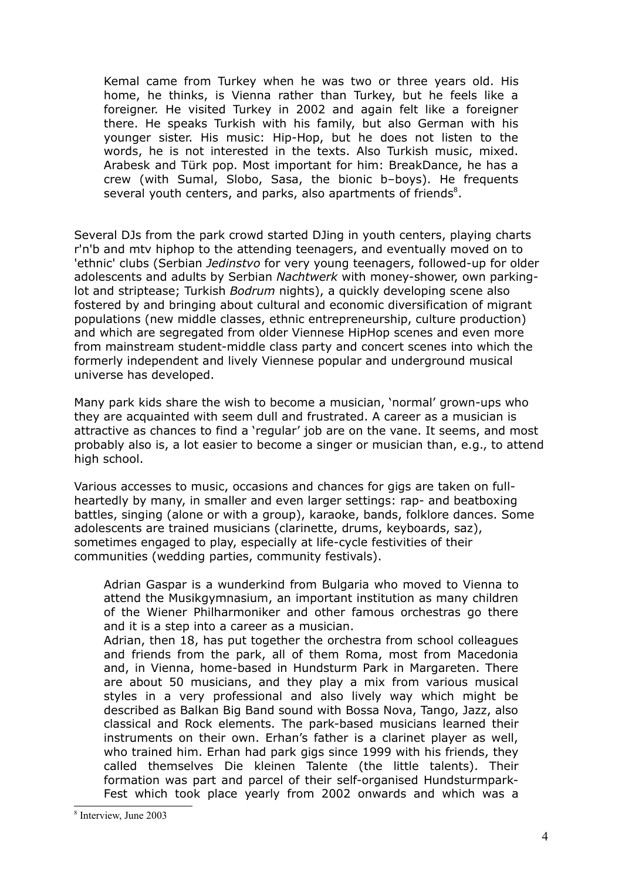Kemal came from Turkey when he was two or three years old. His home, he thinks, is Vienna rather than Turkey, but he feels like a foreigner. He visited Turkey in 2002 and again felt like a foreigner there. He speaks Turkish with his family, but also German with his younger sister. His music: Hip-Hop, but he does not listen to the words, he is not interested in the texts. Also Turkish music, mixed. Arabesk and Türk pop. Most important for him: BreakDance, he has a crew (with Sumal, Slobo, Sasa, the bionic b–boys). He frequents several youth centers, and parks, also apartments of friends<sup>[8](#page-3-0)</sup>.

Several DJs from the park crowd started DJing in youth centers, playing charts r'n'b and mtv hiphop to the attending teenagers, and eventually moved on to 'ethnic' clubs (Serbian *Jedinstvo* for very young teenagers, followed-up for older adolescents and adults by Serbian *Nachtwerk* with money-shower, own parkinglot and striptease; Turkish *Bodrum* nights), a quickly developing scene also fostered by and bringing about cultural and economic diversification of migrant populations (new middle classes, ethnic entrepreneurship, culture production) and which are segregated from older Viennese HipHop scenes and even more from mainstream student-middle class party and concert scenes into which the formerly independent and lively Viennese popular and underground musical universe has developed.

Many park kids share the wish to become a musician, 'normal' grown-ups who they are acquainted with seem dull and frustrated. A career as a musician is attractive as chances to find a 'regular' job are on the vane. It seems, and most probably also is, a lot easier to become a singer or musician than, e.g., to attend high school.

Various accesses to music, occasions and chances for gigs are taken on fullheartedly by many, in smaller and even larger settings: rap- and beatboxing battles, singing (alone or with a group), karaoke, bands, folklore dances. Some adolescents are trained musicians (clarinette, drums, keyboards, saz), sometimes engaged to play, especially at life-cycle festivities of their communities (wedding parties, community festivals).

Adrian Gaspar is a wunderkind from Bulgaria who moved to Vienna to attend the Musikgymnasium, an important institution as many children of the Wiener Philharmoniker and other famous orchestras go there and it is a step into a career as a musician.

Adrian, then 18, has put together the orchestra from school colleagues and friends from the park, all of them Roma, most from Macedonia and, in Vienna, home-based in Hundsturm Park in Margareten. There are about 50 musicians, and they play a mix from various musical styles in a very professional and also lively way which might be described as Balkan Big Band sound with Bossa Nova, Tango, Jazz, also classical and Rock elements. The park-based musicians learned their instruments on their own. Erhan's father is a clarinet player as well, who trained him. Erhan had park gigs since 1999 with his friends, they called themselves Die kleinen Talente (the little talents). Their formation was part and parcel of their self-organised Hundsturmpark-Fest which took place yearly from 2002 onwards and which was a

<span id="page-3-0"></span><sup>8</sup> Interview, June 2003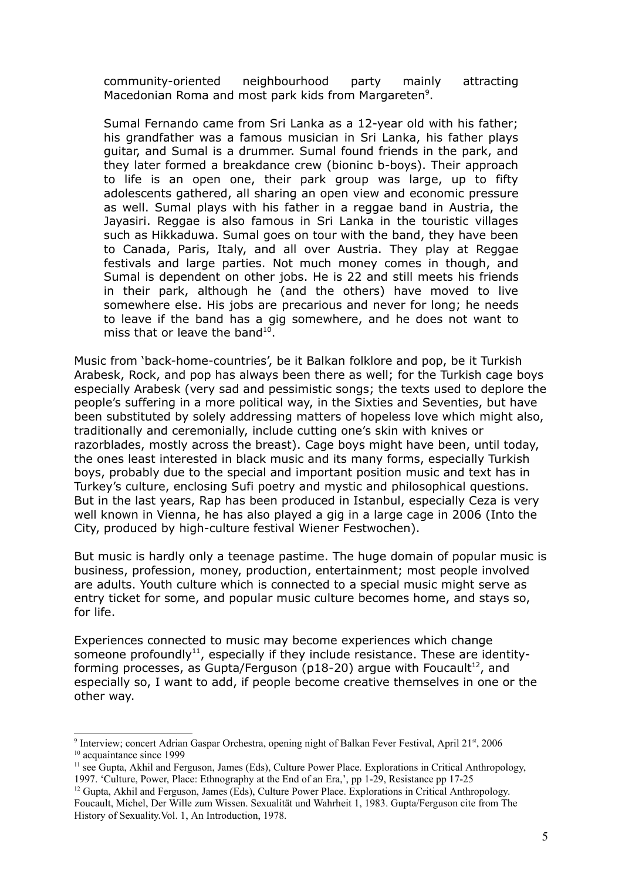community-oriented neighbourhood party mainly attracting Macedonian Roma and most park kids from Margareten<sup>[9](#page-4-0)</sup>.

Sumal Fernando came from Sri Lanka as a 12-year old with his father; his grandfather was a famous musician in Sri Lanka, his father plays guitar, and Sumal is a drummer. Sumal found friends in the park, and they later formed a breakdance crew (bioninc b-boys). Their approach to life is an open one, their park group was large, up to fifty adolescents gathered, all sharing an open view and economic pressure as well. Sumal plays with his father in a reggae band in Austria, the Jayasiri. Reggae is also famous in Sri Lanka in the touristic villages such as Hikkaduwa. Sumal goes on tour with the band, they have been to Canada, Paris, Italy, and all over Austria. They play at Reggae festivals and large parties. Not much money comes in though, and Sumal is dependent on other jobs. He is 22 and still meets his friends in their park, although he (and the others) have moved to live somewhere else. His jobs are precarious and never for long; he needs to leave if the band has a gig somewhere, and he does not want to miss that or leave the band<sup>[10](#page-4-1)</sup>.

Music from 'back-home-countries', be it Balkan folklore and pop, be it Turkish Arabesk, Rock, and pop has always been there as well; for the Turkish cage boys especially Arabesk (very sad and pessimistic songs; the texts used to deplore the people's suffering in a more political way, in the Sixties and Seventies, but have been substituted by solely addressing matters of hopeless love which might also, traditionally and ceremonially, include cutting one's skin with knives or razorblades, mostly across the breast). Cage boys might have been, until today, the ones least interested in black music and its many forms, especially Turkish boys, probably due to the special and important position music and text has in Turkey's culture, enclosing Sufi poetry and mystic and philosophical questions. But in the last years, Rap has been produced in Istanbul, especially Ceza is very well known in Vienna, he has also played a gig in a large cage in 2006 (Into the City, produced by high-culture festival Wiener Festwochen).

But music is hardly only a teenage pastime. The huge domain of popular music is business, profession, money, production, entertainment; most people involved are adults. Youth culture which is connected to a special music might serve as entry ticket for some, and popular music culture becomes home, and stays so, for life.

Experiences connected to music may become experiences which change someone profoundly $^{11}$  $^{11}$  $^{11}$ , especially if they include resistance. These are identity-forming processes, as Gupta/Ferguson (p18-20) argue with Foucault<sup>[12](#page-4-3)</sup>, and especially so, I want to add, if people become creative themselves in one or the other way.

<span id="page-4-1"></span><span id="page-4-0"></span><sup>&</sup>lt;sup>9</sup> Interview; concert Adrian Gaspar Orchestra, opening night of Balkan Fever Festival, April 21<sup>st</sup>, 2006 <sup>10</sup> acquaintance since 1999

<span id="page-4-2"></span><sup>&</sup>lt;sup>11</sup> see Gupta, Akhil and Ferguson, James (Eds), Culture Power Place. Explorations in Critical Anthropology, 1997. 'Culture, Power, Place: Ethnography at the End of an Era,', pp 1-29, Resistance pp 17-25

<span id="page-4-3"></span><sup>12</sup> Gupta, Akhil and Ferguson, James (Eds), Culture Power Place. Explorations in Critical Anthropology. Foucault, Michel, Der Wille zum Wissen. Sexualität und Wahrheit 1, 1983. Gupta/Ferguson cite from The History of Sexuality.Vol. 1, An Introduction, 1978.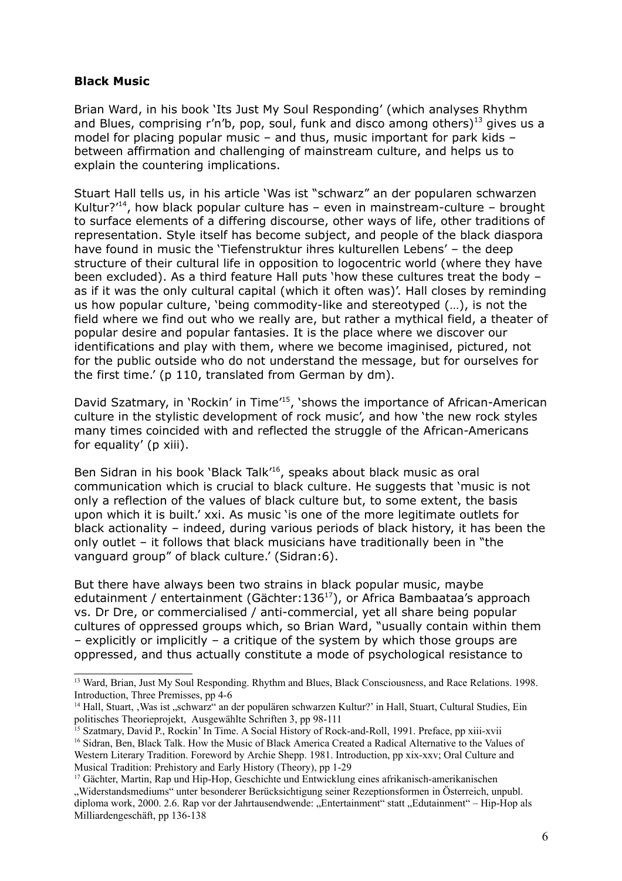#### **Black Music**

Brian Ward, in his book 'Its Just My Soul Responding' (which analyses Rhythm and Blues, comprising r'n'b, pop, soul, funk and disco among others)<sup>[13](#page-5-0)</sup> gives us a model for placing popular music – and thus, music important for park kids – between affirmation and challenging of mainstream culture, and helps us to explain the countering implications.

Stuart Hall tells us, in his article 'Was ist "schwarz" an der popularen schwarzen Kultur?<sup>'[14](#page-5-1)</sup>, how black popular culture has  $-$  even in mainstream-culture  $-$  brought to surface elements of a differing discourse, other ways of life, other traditions of representation. Style itself has become subject, and people of the black diaspora have found in music the 'Tiefenstruktur ihres kulturellen Lebens' – the deep structure of their cultural life in opposition to logocentric world (where they have been excluded). As a third feature Hall puts 'how these cultures treat the body – as if it was the only cultural capital (which it often was)'. Hall closes by reminding us how popular culture, 'being commodity-like and stereotyped (…), is not the field where we find out who we really are, but rather a mythical field, a theater of popular desire and popular fantasies. It is the place where we discover our identifications and play with them, where we become imaginised, pictured, not for the public outside who do not understand the message, but for ourselves for the first time.' (p 110, translated from German by dm).

David Szatmary, in 'Rockin' in Time<sup>'[15](#page-5-2)</sup>, 'shows the importance of African-American culture in the stylistic development of rock music', and how 'the new rock styles many times coincided with and reflected the struggle of the African-Americans for equality' (p xiii).

Ben Sidran in his book 'Black Talk' [16](#page-5-3) , speaks about black music as oral communication which is crucial to black culture. He suggests that 'music is not only a reflection of the values of black culture but, to some extent, the basis upon which it is built.' xxi. As music 'is one of the more legitimate outlets for black actionality – indeed, during various periods of black history, it has been the only outlet – it follows that black musicians have traditionally been in "the vanguard group" of black culture.' (Sidran:6).

But there have always been two strains in black popular music, maybe edutainment / entertainment (Gächter:136<sup>[17](#page-5-4)</sup>), or Africa Bambaataa's approach vs. Dr Dre, or commercialised / anti-commercial, yet all share being popular cultures of oppressed groups which, so Brian Ward, "usually contain within them – explicitly or implicitly – a critique of the system by which those groups are oppressed, and thus actually constitute a mode of psychological resistance to

<span id="page-5-0"></span><sup>&</sup>lt;sup>13</sup> Ward, Brian, Just My Soul Responding. Rhythm and Blues, Black Consciousness, and Race Relations. 1998. Introduction, Three Premisses, pp 4-6

<span id="page-5-1"></span><sup>&</sup>lt;sup>14</sup> Hall, Stuart, , Was ist "schwarz" an der populären schwarzen Kultur?' in Hall, Stuart, Cultural Studies, Ein politisches Theorieprojekt, Ausgewählte Schriften 3, pp 98-111

<span id="page-5-3"></span><span id="page-5-2"></span><sup>&</sup>lt;sup>15</sup> Szatmary, David P., Rockin' In Time. A Social History of Rock-and-Roll, 1991. Preface, pp xiii-xvii <sup>16</sup> Sidran, Ben, Black Talk. How the Music of Black America Created a Radical Alternative to the Values of Western Literary Tradition. Foreword by Archie Shepp. 1981. Introduction, pp xix-xxv; Oral Culture and Musical Tradition: Prehistory and Early History (Theory), pp 1-29

<span id="page-5-4"></span><sup>17</sup> Gächter, Martin, Rap und Hip-Hop, Geschichte und Entwicklung eines afrikanisch-amerikanischen "Widerstandsmediums" unter besonderer Berücksichtigung seiner Rezeptionsformen in Österreich, unpubl. diploma work, 2000. 2.6. Rap vor der Jahrtausendwende: "Entertainment" statt "Edutainment" – Hip-Hop als Milliardengeschäft, pp 136-138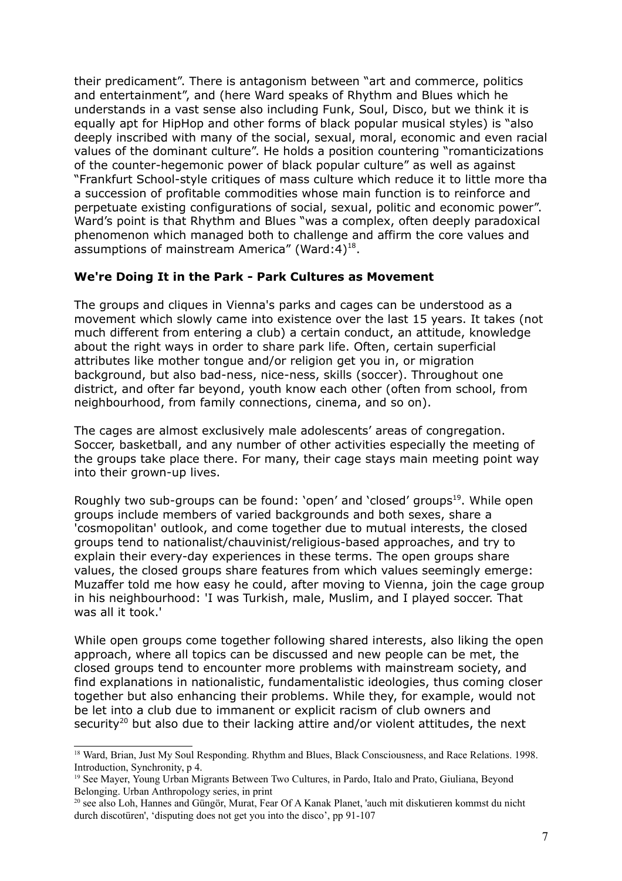their predicament". There is antagonism between "art and commerce, politics and entertainment", and (here Ward speaks of Rhythm and Blues which he understands in a vast sense also including Funk, Soul, Disco, but we think it is equally apt for HipHop and other forms of black popular musical styles) is "also deeply inscribed with many of the social, sexual, moral, economic and even racial values of the dominant culture". He holds a position countering "romanticizations of the counter-hegemonic power of black popular culture" as well as against "Frankfurt School-style critiques of mass culture which reduce it to little more tha a succession of profitable commodities whose main function is to reinforce and perpetuate existing configurations of social, sexual, politic and economic power". Ward's point is that Rhythm and Blues "was a complex, often deeply paradoxical phenomenon which managed both to challenge and affirm the core values and assumptions of mainstream America" (Ward: 4)<sup>[18](#page-6-0)</sup>.

### **We're Doing It in the Park - Park Cultures as Movement**

The groups and cliques in Vienna's parks and cages can be understood as a movement which slowly came into existence over the last 15 years. It takes (not much different from entering a club) a certain conduct, an attitude, knowledge about the right ways in order to share park life. Often, certain superficial attributes like mother tongue and/or religion get you in, or migration background, but also bad-ness, nice-ness, skills (soccer). Throughout one district, and ofter far beyond, youth know each other (often from school, from neighbourhood, from family connections, cinema, and so on).

The cages are almost exclusively male adolescents' areas of congregation. Soccer, basketball, and any number of other activities especially the meeting of the groups take place there. For many, their cage stays main meeting point way into their grown-up lives.

Roughly two sub-groups can be found: 'open' and 'closed' groups<sup>[19](#page-6-1)</sup>. While open groups include members of varied backgrounds and both sexes, share a 'cosmopolitan' outlook, and come together due to mutual interests, the closed groups tend to nationalist/chauvinist/religious-based approaches, and try to explain their every-day experiences in these terms. The open groups share values, the closed groups share features from which values seemingly emerge: Muzaffer told me how easy he could, after moving to Vienna, join the cage group in his neighbourhood: 'I was Turkish, male, Muslim, and I played soccer. That was all it took.'

While open groups come together following shared interests, also liking the open approach, where all topics can be discussed and new people can be met, the closed groups tend to encounter more problems with mainstream society, and find explanations in nationalistic, fundamentalistic ideologies, thus coming closer together but also enhancing their problems. While they, for example, would not be let into a club due to immanent or explicit racism of club owners and security<sup>[20](#page-6-2)</sup> but also due to their lacking attire and/or violent attitudes, the next

<span id="page-6-0"></span><sup>&</sup>lt;sup>18</sup> Ward, Brian, Just My Soul Responding. Rhythm and Blues, Black Consciousness, and Race Relations. 1998. Introduction, Synchronity, p 4.

<span id="page-6-1"></span><sup>&</sup>lt;sup>19</sup> See Mayer, Young Urban Migrants Between Two Cultures, in Pardo, Italo and Prato, Giuliana, Beyond Belonging. Urban Anthropology series, in print

<span id="page-6-2"></span><sup>&</sup>lt;sup>20</sup> see also Loh, Hannes and Güngör, Murat, Fear Of A Kanak Planet, 'auch mit diskutieren kommst du nicht durch discotüren', 'disputing does not get you into the disco', pp 91-107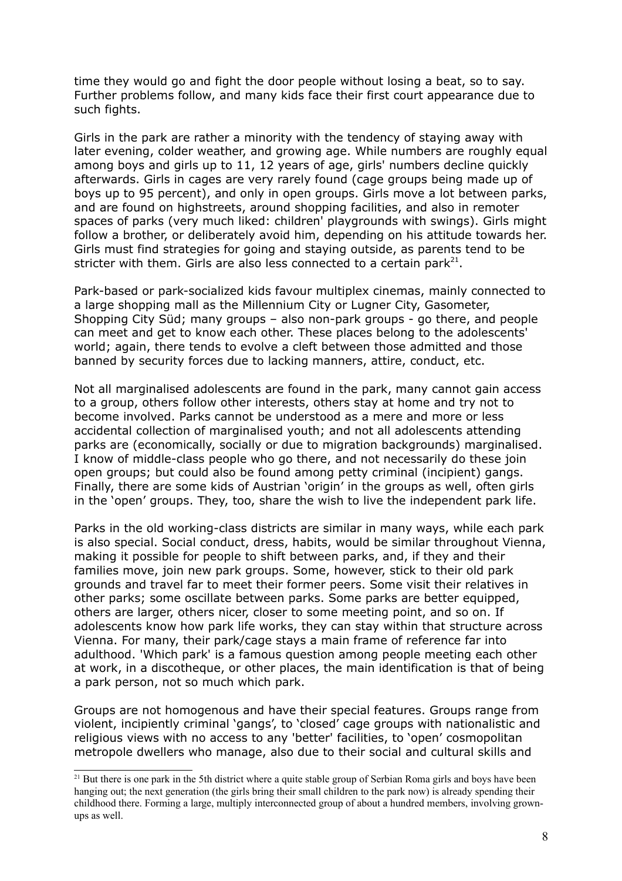time they would go and fight the door people without losing a beat, so to say. Further problems follow, and many kids face their first court appearance due to such fights.

Girls in the park are rather a minority with the tendency of staying away with later evening, colder weather, and growing age. While numbers are roughly equal among boys and girls up to 11, 12 years of age, girls' numbers decline quickly afterwards. Girls in cages are very rarely found (cage groups being made up of boys up to 95 percent), and only in open groups. Girls move a lot between parks, and are found on highstreets, around shopping facilities, and also in remoter spaces of parks (very much liked: children' playgrounds with swings). Girls might follow a brother, or deliberately avoid him, depending on his attitude towards her. Girls must find strategies for going and staying outside, as parents tend to be stricter with them. Girls are also less connected to a certain park $^{21}$  $^{21}$  $^{21}$ .

Park-based or park-socialized kids favour multiplex cinemas, mainly connected to a large shopping mall as the Millennium City or Lugner City, Gasometer, Shopping City Süd; many groups – also non-park groups - go there, and people can meet and get to know each other. These places belong to the adolescents' world; again, there tends to evolve a cleft between those admitted and those banned by security forces due to lacking manners, attire, conduct, etc.

Not all marginalised adolescents are found in the park, many cannot gain access to a group, others follow other interests, others stay at home and try not to become involved. Parks cannot be understood as a mere and more or less accidental collection of marginalised youth; and not all adolescents attending parks are (economically, socially or due to migration backgrounds) marginalised. I know of middle-class people who go there, and not necessarily do these join open groups; but could also be found among petty criminal (incipient) gangs. Finally, there are some kids of Austrian 'origin' in the groups as well, often girls in the 'open' groups. They, too, share the wish to live the independent park life.

Parks in the old working-class districts are similar in many ways, while each park is also special. Social conduct, dress, habits, would be similar throughout Vienna, making it possible for people to shift between parks, and, if they and their families move, join new park groups. Some, however, stick to their old park grounds and travel far to meet their former peers. Some visit their relatives in other parks; some oscillate between parks. Some parks are better equipped, others are larger, others nicer, closer to some meeting point, and so on. If adolescents know how park life works, they can stay within that structure across Vienna. For many, their park/cage stays a main frame of reference far into adulthood. 'Which park' is a famous question among people meeting each other at work, in a discotheque, or other places, the main identification is that of being a park person, not so much which park.

Groups are not homogenous and have their special features. Groups range from violent, incipiently criminal 'gangs', to 'closed' cage groups with nationalistic and religious views with no access to any 'better' facilities, to 'open' cosmopolitan metropole dwellers who manage, also due to their social and cultural skills and

<span id="page-7-0"></span><sup>&</sup>lt;sup>21</sup> But there is one park in the 5th district where a quite stable group of Serbian Roma girls and boys have been hanging out; the next generation (the girls bring their small children to the park now) is already spending their childhood there. Forming a large, multiply interconnected group of about a hundred members, involving grownups as well.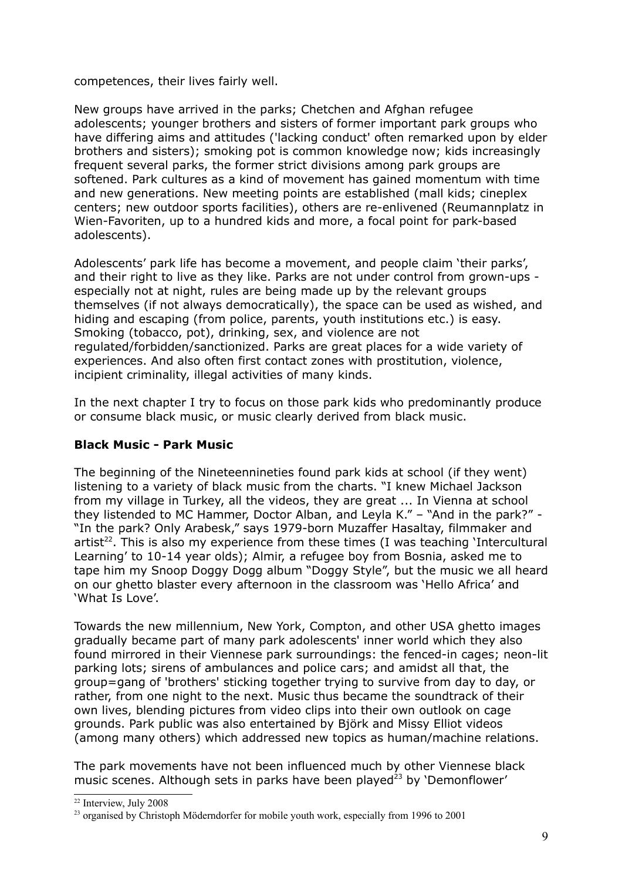competences, their lives fairly well.

New groups have arrived in the parks; Chetchen and Afghan refugee adolescents; younger brothers and sisters of former important park groups who have differing aims and attitudes ('lacking conduct' often remarked upon by elder brothers and sisters); smoking pot is common knowledge now; kids increasingly frequent several parks, the former strict divisions among park groups are softened. Park cultures as a kind of movement has gained momentum with time and new generations. New meeting points are established (mall kids; cineplex centers; new outdoor sports facilities), others are re-enlivened (Reumannplatz in Wien-Favoriten, up to a hundred kids and more, a focal point for park-based adolescents).

Adolescents' park life has become a movement, and people claim 'their parks', and their right to live as they like. Parks are not under control from grown-ups especially not at night, rules are being made up by the relevant groups themselves (if not always democratically), the space can be used as wished, and hiding and escaping (from police, parents, youth institutions etc.) is easy. Smoking (tobacco, pot), drinking, sex, and violence are not regulated/forbidden/sanctionized. Parks are great places for a wide variety of experiences. And also often first contact zones with prostitution, violence, incipient criminality, illegal activities of many kinds.

In the next chapter I try to focus on those park kids who predominantly produce or consume black music, or music clearly derived from black music.

### **Black Music - Park Music**

The beginning of the Nineteennineties found park kids at school (if they went) listening to a variety of black music from the charts. "I knew Michael Jackson from my village in Turkey, all the videos, they are great ... In Vienna at school they listended to MC Hammer, Doctor Alban, and Leyla K." – "And in the park?" - "In the park? Only Arabesk," says 1979-born Muzaffer Hasaltay, filmmaker and artist<sup>[22](#page-8-0)</sup>. This is also my experience from these times (I was teaching 'Intercultural Learning' to 10-14 year olds); Almir, a refugee boy from Bosnia, asked me to tape him my Snoop Doggy Dogg album "Doggy Style", but the music we all heard on our ghetto blaster every afternoon in the classroom was 'Hello Africa' and 'What Is Love'.

Towards the new millennium, New York, Compton, and other USA ghetto images gradually became part of many park adolescents' inner world which they also found mirrored in their Viennese park surroundings: the fenced-in cages; neon-lit parking lots; sirens of ambulances and police cars; and amidst all that, the group=gang of 'brothers' sticking together trying to survive from day to day, or rather, from one night to the next. Music thus became the soundtrack of their own lives, blending pictures from video clips into their own outlook on cage grounds. Park public was also entertained by Björk and Missy Elliot videos (among many others) which addressed new topics as human/machine relations.

The park movements have not been influenced much by other Viennese black music scenes. Although sets in parks have been played<sup>[23](#page-8-1)</sup> by 'Demonflower'

<span id="page-8-0"></span><sup>&</sup>lt;sup>22</sup> Interview, July 2008

<span id="page-8-1"></span><sup>&</sup>lt;sup>23</sup> organised by Christoph Möderndorfer for mobile youth work, especially from 1996 to 2001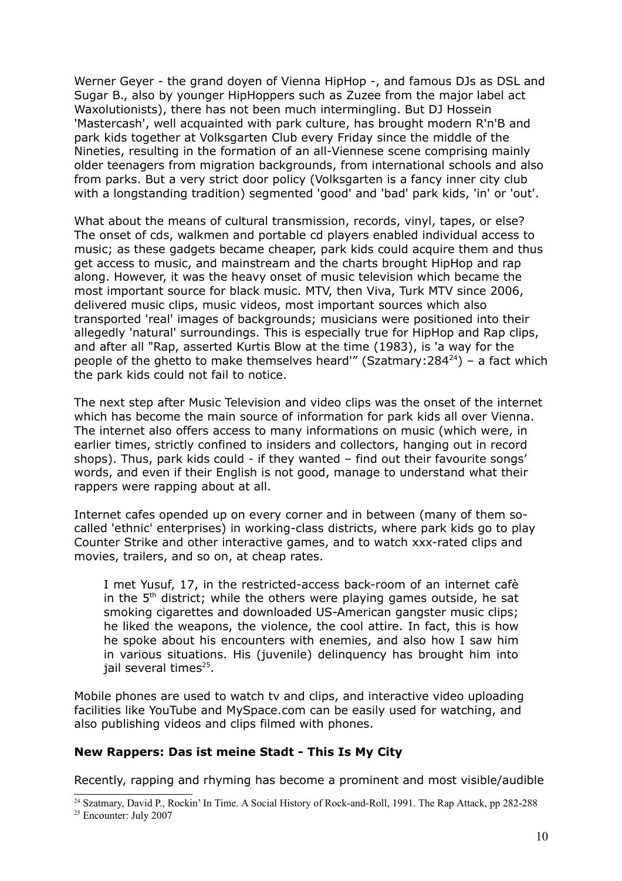Werner Geyer - the grand doyen of Vienna HipHop -, and famous DJs as DSL and Sugar B., also by younger HipHoppers such as Zuzee from the major label act Waxolutionists), there has not been much intermingling. But DJ Hossein 'Mastercash', well acquainted with park culture, has brought modern R'n'B and park kids together at Volksgarten Club every Friday since the middle of the Nineties, resulting in the formation of an all-Viennese scene comprising mainly older teenagers from migration backgrounds, from international schools and also from parks. But a very strict door policy (Volksgarten is a fancy inner city club with a longstanding tradition) segmented 'good' and 'bad' park kids, 'in' or 'out'.

What about the means of cultural transmission, records, vinyl, tapes, or else? The onset of cds, walkmen and portable cd players enabled individual access to music; as these gadgets became cheaper, park kids could acquire them and thus get access to music, and mainstream and the charts brought HipHop and rap along. However, it was the heavy onset of music television which became the most important source for black music. MTV, then Viva, Turk MTV since 2006, delivered music clips, music videos, most important sources which also transported 'real' images of backgrounds; musicians were positioned into their allegedly 'natural' surroundings. This is especially true for HipHop and Rap clips, and after all "Rap, asserted Kurtis Blow at the time (1983), is 'a way for the people of the ghetto to make themselves heard'" (Szatmary:284 $^{24}$  $^{24}$  $^{24}$ ) – a fact which the park kids could not fail to notice.

The next step after Music Television and video clips was the onset of the internet which has become the main source of information for park kids all over Vienna. The internet also offers access to many informations on music (which were, in earlier times, strictly confined to insiders and collectors, hanging out in record shops). Thus, park kids could - if they wanted – find out their favourite songs' words, and even if their English is not good, manage to understand what their rappers were rapping about at all.

Internet cafes opended up on every corner and in between (many of them socalled 'ethnic' enterprises) in working-class districts, where park kids go to play Counter Strike and other interactive games, and to watch xxx-rated clips and movies, trailers, and so on, at cheap rates.

I met Yusuf, 17, in the restricted-access back-room of an internet cafè in the  $5<sup>th</sup>$  district; while the others were playing games outside, he sat smoking cigarettes and downloaded US-American gangster music clips; he liked the weapons, the violence, the cool attire. In fact, this is how he spoke about his encounters with enemies, and also how I saw him in various situations. His (juvenile) delinquency has brought him into jail several times<sup>[25](#page-9-1)</sup>.

Mobile phones are used to watch tv and clips, and interactive video uploading facilities like YouTube and MySpace.com can be easily used for watching, and also publishing videos and clips filmed with phones.

### **New Rappers: Das ist meine Stadt - This Is My City**

Recently, rapping and rhyming has become a prominent and most visible/audible

<span id="page-9-1"></span><span id="page-9-0"></span><sup>&</sup>lt;sup>24</sup> Szatmary, David P., Rockin' In Time. A Social History of Rock-and-Roll, 1991. The Rap Attack, pp 282-288 <sup>25</sup> Encounter: July 2007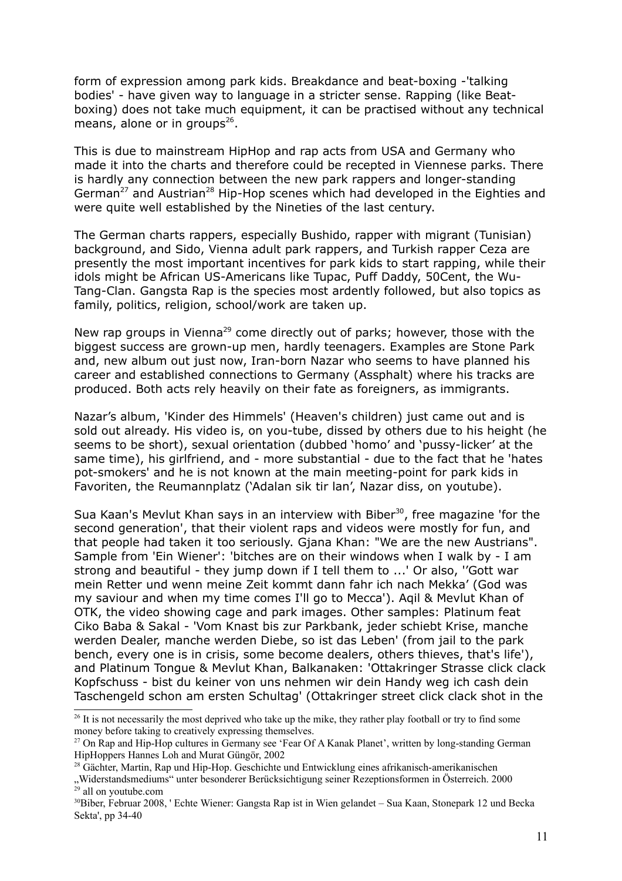form of expression among park kids. Breakdance and beat-boxing -'talking bodies' - have given way to language in a stricter sense. Rapping (like Beatboxing) does not take much equipment, it can be practised without any technical means, alone or in groups<sup>[26](#page-10-0)</sup>.

This is due to mainstream HipHop and rap acts from USA and Germany who made it into the charts and therefore could be recepted in Viennese parks. There is hardly any connection between the new park rappers and longer-standing German<sup>[27](#page-10-1)</sup> and Austrian<sup>[28](#page-10-2)</sup> Hip-Hop scenes which had developed in the Eighties and were quite well established by the Nineties of the last century.

The German charts rappers, especially Bushido, rapper with migrant (Tunisian) background, and Sido, Vienna adult park rappers, and Turkish rapper Ceza are presently the most important incentives for park kids to start rapping, while their idols might be African US-Americans like Tupac, Puff Daddy, 50Cent, the Wu-Tang-Clan. Gangsta Rap is the species most ardently followed, but also topics as family, politics, religion, school/work are taken up.

New rap groups in Vienna<sup>[29](#page-10-3)</sup> come directly out of parks; however, those with the biggest success are grown-up men, hardly teenagers. Examples are Stone Park and, new album out just now, Iran-born Nazar who seems to have planned his career and established connections to Germany (Assphalt) where his tracks are produced. Both acts rely heavily on their fate as foreigners, as immigrants.

Nazar's album, 'Kinder des Himmels' (Heaven's children) just came out and is sold out already. His video is, on you-tube, dissed by others due to his height (he seems to be short), sexual orientation (dubbed 'homo' and 'pussy-licker' at the same time), his girlfriend, and - more substantial - due to the fact that he 'hates pot-smokers' and he is not known at the main meeting-point for park kids in Favoriten, the Reumannplatz ('Adalan sik tir lan', Nazar diss, on youtube).

Sua Kaan's Mevlut Khan says in an interview with Biber<sup>[30](#page-10-4)</sup>, free magazine 'for the second generation', that their violent raps and videos were mostly for fun, and that people had taken it too seriously. Gjana Khan: "We are the new Austrians". Sample from 'Ein Wiener': 'bitches are on their windows when I walk by - I am strong and beautiful - they jump down if I tell them to ...' Or also, ''Gott war mein Retter und wenn meine Zeit kommt dann fahr ich nach Mekka' (God was my saviour and when my time comes I'll go to Mecca'). Aqil & Mevlut Khan of OTK, the video showing cage and park images. Other samples: Platinum feat Ciko Baba & Sakal - 'Vom Knast bis zur Parkbank, jeder schiebt Krise, manche werden Dealer, manche werden Diebe, so ist das Leben' (from jail to the park bench, every one is in crisis, some become dealers, others thieves, that's life'), and Platinum Tongue & Mevlut Khan, Balkanaken: 'Ottakringer Strasse click clack Kopfschuss - bist du keiner von uns nehmen wir dein Handy weg ich cash dein Taschengeld schon am ersten Schultag' (Ottakringer street click clack shot in the

<span id="page-10-0"></span><sup>&</sup>lt;sup>26</sup> It is not necessarily the most deprived who take up the mike, they rather play football or try to find some money before taking to creatively expressing themselves.

<span id="page-10-1"></span><sup>27</sup> On Rap and Hip-Hop cultures in Germany see 'Fear Of A Kanak Planet', written by long-standing German HipHoppers Hannes Loh and Murat Güngör, 2002

<span id="page-10-2"></span><sup>28</sup> Gächter, Martin, Rap und Hip-Hop. Geschichte und Entwicklung eines afrikanisch-amerikanischen "Widerstandsmediums" unter besonderer Berücksichtigung seiner Rezeptionsformen in Österreich. 2000<br><sup>29</sup> all on youtube.com

<span id="page-10-4"></span><span id="page-10-3"></span><sup>30</sup>Biber, Februar 2008, ' Echte Wiener: Gangsta Rap ist in Wien gelandet – Sua Kaan, Stonepark 12 und Becka Sekta', pp 34-40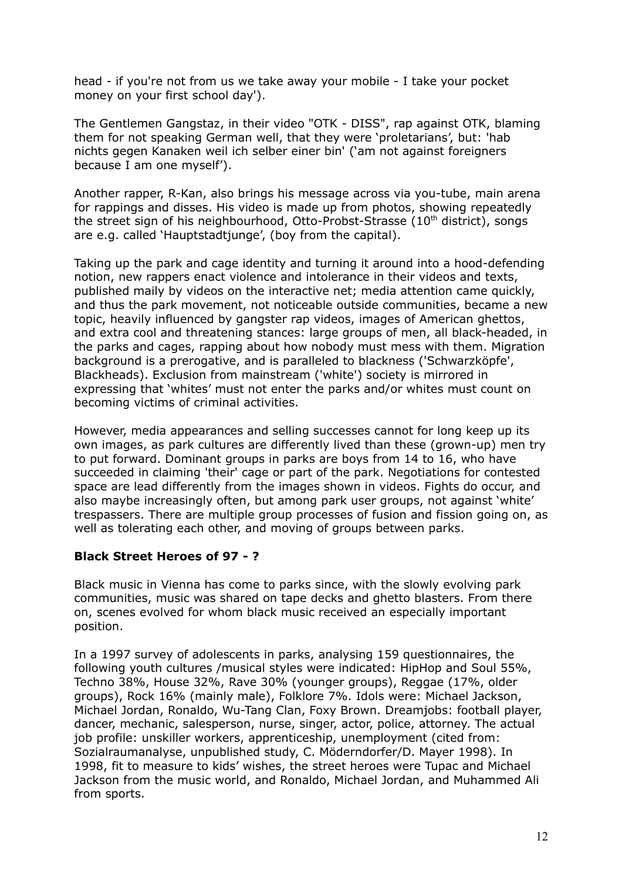head - if you're not from us we take away your mobile - I take your pocket money on your first school day').

The Gentlemen Gangstaz, in their video "OTK - DISS", rap against OTK, blaming them for not speaking German well, that they were 'proletarians', but: 'hab nichts gegen Kanaken weil ich selber einer bin' ('am not against foreigners because I am one myself').

Another rapper, R-Kan, also brings his message across via you-tube, main arena for rappings and disses. His video is made up from photos, showing repeatedly the street sign of his neighbourhood, Otto-Probst-Strasse (10<sup>th</sup> district), songs are e.g. called 'Hauptstadtjunge', (boy from the capital).

Taking up the park and cage identity and turning it around into a hood-defending notion, new rappers enact violence and intolerance in their videos and texts, published maily by videos on the interactive net; media attention came quickly, and thus the park movement, not noticeable outside communities, became a new topic, heavily influenced by gangster rap videos, images of American ghettos, and extra cool and threatening stances: large groups of men, all black-headed, in the parks and cages, rapping about how nobody must mess with them. Migration background is a prerogative, and is paralleled to blackness ('Schwarzköpfe', Blackheads). Exclusion from mainstream ('white') society is mirrored in expressing that 'whites' must not enter the parks and/or whites must count on becoming victims of criminal activities.

However, media appearances and selling successes cannot for long keep up its own images, as park cultures are differently lived than these (grown-up) men try to put forward. Dominant groups in parks are boys from 14 to 16, who have succeeded in claiming 'their' cage or part of the park. Negotiations for contested space are lead differently from the images shown in videos. Fights do occur, and also maybe increasingly often, but among park user groups, not against 'white' trespassers. There are multiple group processes of fusion and fission going on, as well as tolerating each other, and moving of groups between parks.

## **Black Street Heroes of 97 - ?**

Black music in Vienna has come to parks since, with the slowly evolving park communities, music was shared on tape decks and ghetto blasters. From there on, scenes evolved for whom black music received an especially important position.

In a 1997 survey of adolescents in parks, analysing 159 questionnaires, the following youth cultures /musical styles were indicated: HipHop and Soul 55%, Techno 38%, House 32%, Rave 30% (younger groups), Reggae (17%, older groups), Rock 16% (mainly male), Folklore 7%. Idols were: Michael Jackson, Michael Jordan, Ronaldo, Wu-Tang Clan, Foxy Brown. Dreamjobs: football player, dancer, mechanic, salesperson, nurse, singer, actor, police, attorney. The actual job profile: unskiller workers, apprenticeship, unemployment (cited from: Sozialraumanalyse, unpublished study, C. Möderndorfer/D. Mayer 1998). In 1998, fit to measure to kids' wishes, the street heroes were Tupac and Michael Jackson from the music world, and Ronaldo, Michael Jordan, and Muhammed Ali from sports.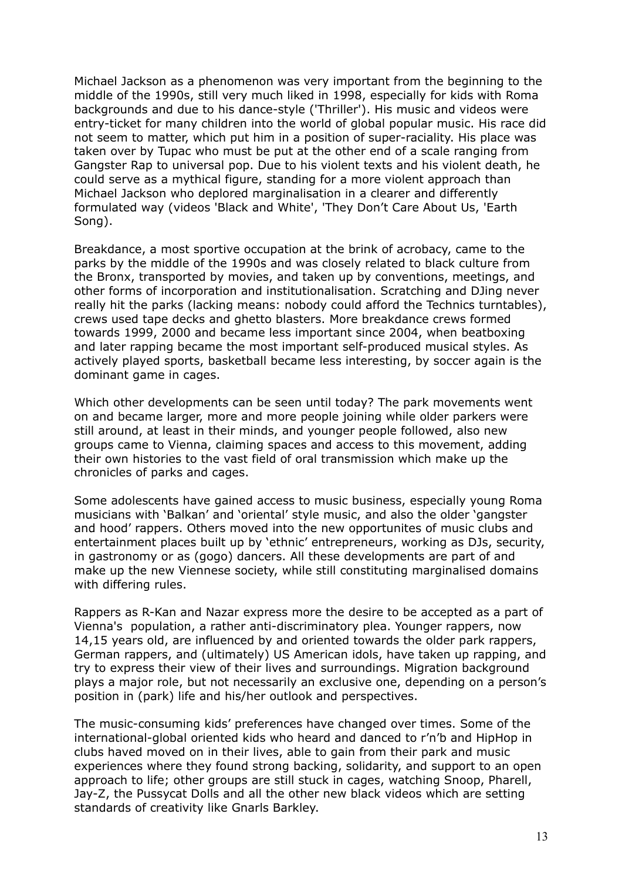Michael Jackson as a phenomenon was very important from the beginning to the middle of the 1990s, still very much liked in 1998, especially for kids with Roma backgrounds and due to his dance-style ('Thriller'). His music and videos were entry-ticket for many children into the world of global popular music. His race did not seem to matter, which put him in a position of super-raciality. His place was taken over by Tupac who must be put at the other end of a scale ranging from Gangster Rap to universal pop. Due to his violent texts and his violent death, he could serve as a mythical figure, standing for a more violent approach than Michael Jackson who deplored marginalisation in a clearer and differently formulated way (videos 'Black and White', 'They Don't Care About Us, 'Earth Song).

Breakdance, a most sportive occupation at the brink of acrobacy, came to the parks by the middle of the 1990s and was closely related to black culture from the Bronx, transported by movies, and taken up by conventions, meetings, and other forms of incorporation and institutionalisation. Scratching and DJing never really hit the parks (lacking means: nobody could afford the Technics turntables), crews used tape decks and ghetto blasters. More breakdance crews formed towards 1999, 2000 and became less important since 2004, when beatboxing and later rapping became the most important self-produced musical styles. As actively played sports, basketball became less interesting, by soccer again is the dominant game in cages.

Which other developments can be seen until today? The park movements went on and became larger, more and more people joining while older parkers were still around, at least in their minds, and younger people followed, also new groups came to Vienna, claiming spaces and access to this movement, adding their own histories to the vast field of oral transmission which make up the chronicles of parks and cages.

Some adolescents have gained access to music business, especially young Roma musicians with 'Balkan' and 'oriental' style music, and also the older 'gangster and hood' rappers. Others moved into the new opportunites of music clubs and entertainment places built up by 'ethnic' entrepreneurs, working as DJs, security, in gastronomy or as (gogo) dancers. All these developments are part of and make up the new Viennese society, while still constituting marginalised domains with differing rules.

Rappers as R-Kan and Nazar express more the desire to be accepted as a part of Vienna's population, a rather anti-discriminatory plea. Younger rappers, now 14,15 years old, are influenced by and oriented towards the older park rappers, German rappers, and (ultimately) US American idols, have taken up rapping, and try to express their view of their lives and surroundings. Migration background plays a major role, but not necessarily an exclusive one, depending on a person's position in (park) life and his/her outlook and perspectives.

The music-consuming kids' preferences have changed over times. Some of the international-global oriented kids who heard and danced to r'n'b and HipHop in clubs haved moved on in their lives, able to gain from their park and music experiences where they found strong backing, solidarity, and support to an open approach to life; other groups are still stuck in cages, watching Snoop, Pharell, Jay-Z, the Pussycat Dolls and all the other new black videos which are setting standards of creativity like Gnarls Barkley.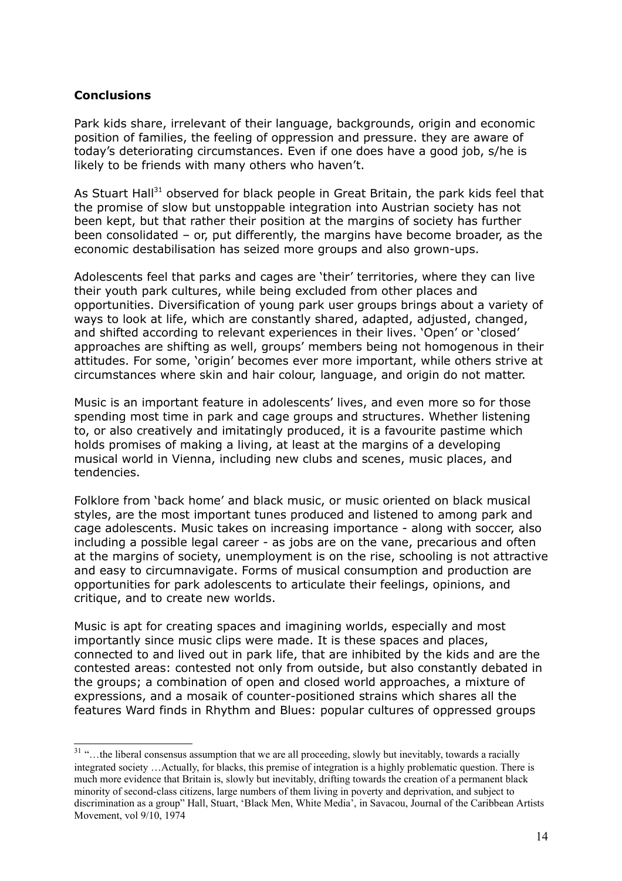### **Conclusions**

Park kids share, irrelevant of their language, backgrounds, origin and economic position of families, the feeling of oppression and pressure. they are aware of today's deteriorating circumstances. Even if one does have a good job, s/he is likely to be friends with many others who haven't.

As Stuart Hall<sup>[31](#page-13-0)</sup> observed for black people in Great Britain, the park kids feel that the promise of slow but unstoppable integration into Austrian society has not been kept, but that rather their position at the margins of society has further been consolidated – or, put differently, the margins have become broader, as the economic destabilisation has seized more groups and also grown-ups.

Adolescents feel that parks and cages are 'their' territories, where they can live their youth park cultures, while being excluded from other places and opportunities. Diversification of young park user groups brings about a variety of ways to look at life, which are constantly shared, adapted, adjusted, changed, and shifted according to relevant experiences in their lives. 'Open' or 'closed' approaches are shifting as well, groups' members being not homogenous in their attitudes. For some, 'origin' becomes ever more important, while others strive at circumstances where skin and hair colour, language, and origin do not matter.

Music is an important feature in adolescents' lives, and even more so for those spending most time in park and cage groups and structures. Whether listening to, or also creatively and imitatingly produced, it is a favourite pastime which holds promises of making a living, at least at the margins of a developing musical world in Vienna, including new clubs and scenes, music places, and tendencies.

Folklore from 'back home' and black music, or music oriented on black musical styles, are the most important tunes produced and listened to among park and cage adolescents. Music takes on increasing importance - along with soccer, also including a possible legal career - as jobs are on the vane, precarious and often at the margins of society, unemployment is on the rise, schooling is not attractive and easy to circumnavigate. Forms of musical consumption and production are opportunities for park adolescents to articulate their feelings, opinions, and critique, and to create new worlds.

Music is apt for creating spaces and imagining worlds, especially and most importantly since music clips were made. It is these spaces and places, connected to and lived out in park life, that are inhibited by the kids and are the contested areas: contested not only from outside, but also constantly debated in the groups; a combination of open and closed world approaches, a mixture of expressions, and a mosaik of counter-positioned strains which shares all the features Ward finds in Rhythm and Blues: popular cultures of oppressed groups

<span id="page-13-0"></span><sup>&</sup>lt;sup>31</sup> "...the liberal consensus assumption that we are all proceeding, slowly but inevitably, towards a racially integrated society …Actually, for blacks, this premise of integration is a highly problematic question. There is much more evidence that Britain is, slowly but inevitably, drifting towards the creation of a permanent black minority of second-class citizens, large numbers of them living in poverty and deprivation, and subject to discrimination as a group" Hall, Stuart, 'Black Men, White Media', in Savacou, Journal of the Caribbean Artists Movement, vol 9/10, 1974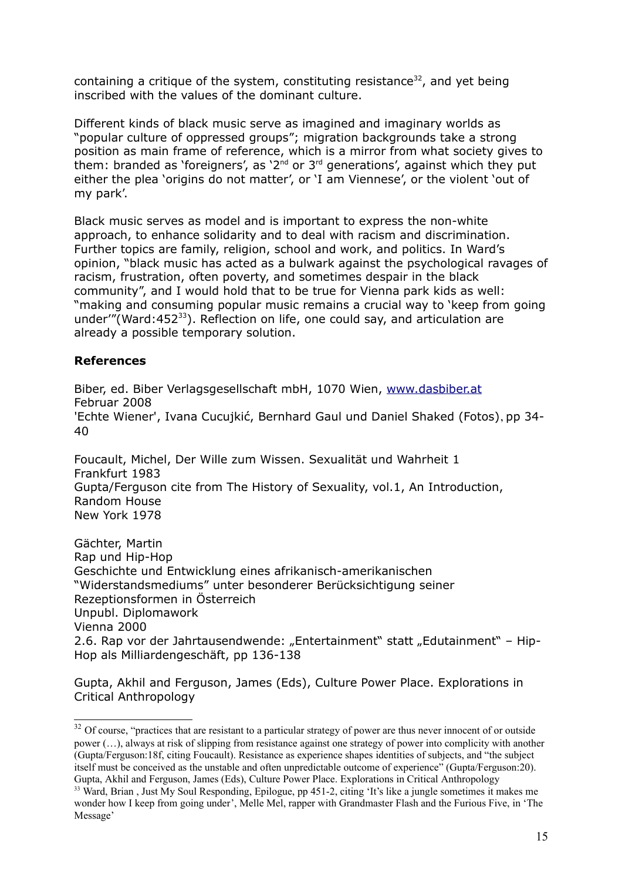containing a critique of the system, constituting resistance<sup>[32](#page-14-0)</sup>, and yet being inscribed with the values of the dominant culture.

Different kinds of black music serve as imagined and imaginary worlds as "popular culture of oppressed groups"; migration backgrounds take a strong position as main frame of reference, which is a mirror from what society gives to them: branded as `foreigners', as `2<sup>nd</sup> or 3<sup>rd</sup> generations', against which they put either the plea 'origins do not matter', or 'I am Viennese', or the violent 'out of my park'.

Black music serves as model and is important to express the non-white approach, to enhance solidarity and to deal with racism and discrimination. Further topics are family, religion, school and work, and politics. In Ward's opinion, "black music has acted as a bulwark against the psychological ravages of racism, frustration, often poverty, and sometimes despair in the black community", and I would hold that to be true for Vienna park kids as well: "making and consuming popular music remains a crucial way to 'keep from going under'"(Ward:452 $^{33}$  $^{33}$  $^{33}$ ). Reflection on life, one could say, and articulation are already a possible temporary solution.

### **References**

Biber, ed. Biber Verlagsgesellschaft mbH, 1070 Wien, [www.dasbiber.at](http://www.dasbiber.at/) Februar 2008 'Echte Wiener', Ivana Cucujkić, Bernhard Gaul und Daniel Shaked (Fotos), pp 34- 40

Foucault, Michel, Der Wille zum Wissen. Sexualität und Wahrheit 1 Frankfurt 1983 Gupta/Ferguson cite from The History of Sexuality, vol.1, An Introduction, Random House New York 1978

Gächter, Martin Rap und Hip-Hop Geschichte und Entwicklung eines afrikanisch-amerikanischen "Widerstandsmediums" unter besonderer Berücksichtigung seiner Rezeptionsformen in Österreich Unpubl. Diplomawork Vienna 2000 2.6. Rap vor der Jahrtausendwende: "Entertainment" statt "Edutainment" - Hip-Hop als Milliardengeschäft, pp 136-138

Gupta, Akhil and Ferguson, James (Eds), Culture Power Place. Explorations in Critical Anthropology

<span id="page-14-0"></span><sup>&</sup>lt;sup>32</sup> Of course, "practices that are resistant to a particular strategy of power are thus never innocent of or outside power (…), always at risk of slipping from resistance against one strategy of power into complicity with another (Gupta/Ferguson:18f, citing Foucault). Resistance as experience shapes identities of subjects, and "the subject itself must be conceived as the unstable and often unpredictable outcome of experience" (Gupta/Ferguson:20). Gupta, Akhil and Ferguson, James (Eds), Culture Power Place. Explorations in Critical Anthropology <sup>33</sup> Ward, Brian, Just My Soul Responding, Epilogue, pp 451-2, citing 'It's like a jungle sometimes it makes me

<span id="page-14-1"></span>wonder how I keep from going under', Melle Mel, rapper with Grandmaster Flash and the Furious Five, in 'The Message'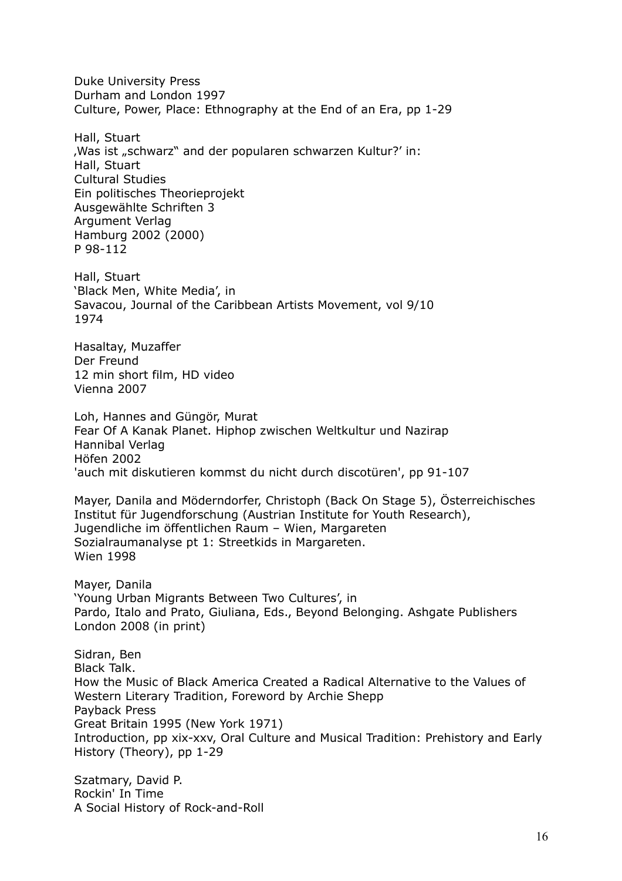Duke University Press Durham and London 1997 Culture, Power, Place: Ethnography at the End of an Era, pp 1-29

Hall, Stuart 'Was ist "schwarz" and der popularen schwarzen Kultur?' in: Hall, Stuart Cultural Studies Ein politisches Theorieprojekt Ausgewählte Schriften 3 Argument Verlag Hamburg 2002 (2000) P 98-112

Hall, Stuart 'Black Men, White Media', in Savacou, Journal of the Caribbean Artists Movement, vol 9/10 1974

Hasaltay, Muzaffer Der Freund 12 min short film, HD video Vienna 2007

Loh, Hannes and Güngör, Murat Fear Of A Kanak Planet. Hiphop zwischen Weltkultur und Nazirap Hannibal Verlag Höfen 2002 'auch mit diskutieren kommst du nicht durch discotüren', pp 91-107

Mayer, Danila and Möderndorfer, Christoph (Back On Stage 5), Österreichisches Institut für Jugendforschung (Austrian Institute for Youth Research), Jugendliche im öffentlichen Raum – Wien, Margareten Sozialraumanalyse pt 1: Streetkids in Margareten. Wien 1998

Mayer, Danila 'Young Urban Migrants Between Two Cultures', in Pardo, Italo and Prato, Giuliana, Eds., Beyond Belonging. Ashgate Publishers London 2008 (in print)

Sidran, Ben Black Talk. How the Music of Black America Created a Radical Alternative to the Values of Western Literary Tradition, Foreword by Archie Shepp Payback Press Great Britain 1995 (New York 1971) Introduction, pp xix-xxv, Oral Culture and Musical Tradition: Prehistory and Early History (Theory), pp 1-29

Szatmary, David P. Rockin' In Time A Social History of Rock-and-Roll